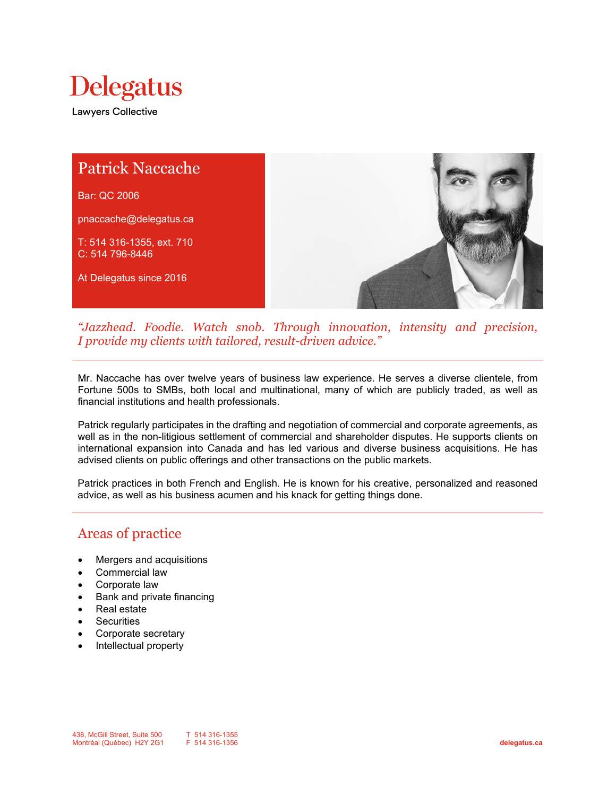



*"Jazzhead. Foodie. Watch snob. Through innovation, intensity and precision, I provide my clients with tailored, result-driven advice."*

Mr. Naccache has over twelve years of business law experience. He serves a diverse clientele, from Fortune 500s to SMBs, both local and multinational, many of which are publicly traded, as well as financial institutions and health professionals.

Patrick regularly participates in the drafting and negotiation of commercial and corporate agreements, as well as in the non-litigious settlement of commercial and shareholder disputes. He supports clients on international expansion into Canada and has led various and diverse business acquisitions. He has advised clients on public offerings and other transactions on the public markets.

Patrick practices in both French and English. He is known for his creative, personalized and reasoned advice, as well as his business acumen and his knack for getting things done.

## Areas of practice

- Mergers and acquisitions
- Commercial law
- Corporate law
- Bank and private financing
- Real estate
- **Securities**
- Corporate secretary
- Intellectual property